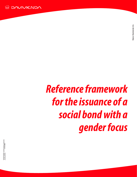

# *Reference framework for the issuance of a social bond with a gender focus*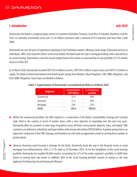## *I. Introduction July 2020*

Davivienda (the Bank) is a regional player active in 6 countries (Colombia, Panama, Costa Rica, El Salvador, Honduras, and the USA). In Colombia, Davivienda serves over 12.34 million customers with a network of 672 branches and more than 2,600 ATMs.

Davivienda has over 48 years of experience operating in the Colombian market, offering a wide range of financial services to individuals, SMEs, and corporate clients. In the local market, the Bank leads the way in mortgage lending, with a special focus on social housing. Davivienda is now the second largest bank in the nation as measured by its loan portfolio (15.7% market share as of Mar/20).

As of March 2020, Davivienda recorded COP\$139.6 trillion in assets, COP\$109.4 trillion in gross loans and COP\$12.9 trillion in equity. The Bank received international investment grade ratings from Moody's (Baa3/Negative), S&P (BBB-/Negative), and Fitch (BBB-/Negative). Gross loans are divided as follows:

| <b>Segment</b> | <b>Current balance</b><br>(COP Trillion) | % of total loan<br>portfolio |
|----------------|------------------------------------------|------------------------------|
| Commercial     | 53.4                                     | 49%                          |
| Consumer       | 31.2                                     | <b>28%</b>                   |
| Mortgage       | 24.8                                     | 23%                          |
| TOTAL          | 109.4                                    | 100.0%                       |

#### **Table 1: Segmentation of Davivienda's consolidated portfolio as of March 2020**

- Within the commercial portfolio, the SME segment is a cornerstone of the Bank's sustainability strategy and currently ranks third in the country in terms of market share, with a clear objective of expanding over the next two years. Davivienda offers its customers a wide range of products across all fronts: transactional, deposits, loans, and digital. SME customers are defined as individuals and legal entities with annual sales below COP\$20 billion. A gender perspective is an important component of the SME strategy, and therefore we will work on approaches aimed at serving these markets in greater detail.
- Likewise, financing social housing is strategic for the Bank. Davivienda leads the way in the financial sector in social mortgage loan disbursements, with a 31.7% stake as of December 2019. As for the breakdown of the social housing portfolio, Davivienda has enabled 86,848 women, accounting for 51% of the entire segment's portfolio, to fulfill their dream of owning their own home. In addition, 86% of the social housing portfolio consists of women as the only applicants for financing (Social Housing for Women).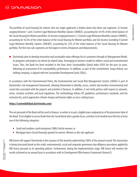The portfolio of social housing for women who are single-applicants is broken down into three sub-segments: (i) Income ranging between 1 and 2 Current Legal Minimum Monthly Salaries (SMMLV), accounting for 34.4% of the entire balance of the Social Housing for Women portfolio; (ii) Income ranging between 2-3 Current Legal Minimum Monthly Salaries (SMMLV), accounting for 43.6% of the entire balance of the Social Housing for Women portfolio; and (iii) Income exceeding 4 Current Legal Minimum Monthly Salaries (SMLMV), accounting for 22% of the entire balance of the Social Housing for Women portfolio. The first two sub-segments are the largest in terms of balances and disbursements.

Davivienda aims to develop innovative and sustainable value offerings for its customers through its Management Model.  $\bullet$ Its programs and projects are driven by shared value, leveraging its business model to address social and environmental issues. Thus, the Bank has been included in the Dow Jones Sustainability Global Index (DJSI) for the past six years, following an assessment of its sustainability performance. In addition, as part of this commitment, Grupo Bolívar, our holding company, is aligned with the Sustainable Development Goals (SDGs).

In accordance with the Environmental Policy, the Environmental and Social Risk Management System (SARAS) is part of Davivienda's risk management framework, allowing Davivienda to identify, assess, control and monitor environmental and social risks associated with the projects and activities it finances. In addition, it sets forth policies with respect to amounts, terms, sensitive activities and local regulations. The methodology follows IFC guidelines, performance standards, and the exclusion list, and it approaches climate change and human rights as cross-cutting issues.

#### **https://sostenibilidad.davivienda.com/**

The net proceeds of the Bond will be used to finance, in whole or in part, eligible loans originated as of the placement date of the Bond. To be eligible to access funds from the Social Bond with a gender focus, activities to be funded must fall into at least one of the following categories:

- Small and medium-sized enterprises (SMEs) led by women; or
- Mortgage loans (Social Housing) granted to women. Women as the sole applicant.

IDB Invest will support Davivienda in the issuance of this bond by underwriting 100% of the amount issued. The transaction is being structured based on the credit, environmental, social and corporate governance due diligence procedures applied by IDB Invest pursuant to its operating policies. Furthermore, during the implementation stage, IDB Invest will monitor the results achieved on an annual basis in accordance with its Development Effectiveness Framework (Annex II).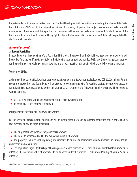Projects funded with resources derived from this Bond will be aligned with the institution's strategy, the SDGs and the Social Bond Principles (SBP) and its four guidelines: (i) use of proceeds; (ii) process for project evaluation and selection; (iii) management of proceeds; and (iv) reporting. This document will be used as a reference framework for the issuance of the Bond and will be submitted for a Second Party Opinion. Both the Framework Document and the Opinion will be published by the Bank on its website.

## *II. Use of proceeds*

#### **a) Target Portfolios**

In accordance with the guidelines of the Social Bond Principles, the proceeds of the Social Bond issue with a gender focus will be used to fund the bank's social portfolio in the following segments: (i) Women-led SMEs; and (ii) mortgage loans granted for the purchase or remodeling of a main dwelling in the social housing segment, in which the only borrower is a woman.

#### Women-led SMEs:

SMEs are defined as individuals with an economic activity or legal entities with annual sales up to COP 20,000 million. For this sector, the proceeds of the Social Bond will be used to provide new financing for working capital, inventory purchases or capital and fixed asset investments. Within this segment, SMEs that meet the following eligibility criteria will be deemed as women-led SMEs:

- At least 51% of the voting and equity ownership is held by women; and
- **•** Its main legal representative is a woman.

#### Mortgage loans for social housing owned by women

For this sector, the proceeds of the Social Bond will be used to grant mortgage loans for the acquisition of new or used homes that meet the following eligibility criteria:

- The only debtor and owner of the property is a woman;
- The home to be financed will be the main dwelling of the borrower;
- The property complies with regulatory requirements to ensure its habitability, quality standards in urban design, architecture and construction.

 The population eligible for this type of housing earns a monthly income of less than 8 Current Monthly MInimum Salaries (SMMLV). The maximum value of properties to be financed under this scheme is 150 Current Monthly Minimum Salaries (SMMLV).

<sup>&</sup>lt;sup>1</sup> As of 2020, the Current Monthly Minimum Legal Salary is COP\$877,803, approximately US\$255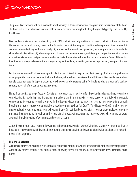The proceeds of the bond will be allocated to new financings within a maximum of two years from the issuance of the bond. The bond will serve as a financial instrument to increase access to financing for the target segments typically underserved by local banks.

Davivienda established a clear strategy to grow its SME portfolio, not only relative to its overall portfolio but also relative to the rest of the financial system, based on the following items: (i) training and coaching sales representatives to serve this segment more effectively and more closely; (ii) simpler and more efficient processes, assigning a pivotal role to digital channels and alternatives; (iii) adequate products to meet the customer's needs; and (iv) supporting customers with a range of non-financial services that provide an added value that differentiates us from other financial offerings. Some of the sectors identified as strategic to leverage the strategy are: agriculture, land, education, co-ownership, tourism, transportation and trade.

For the women-owned SME segment specifically, the bank intends to expand its client base by offering a comprehensive value proposition under development within the bank, with technical assistance from IDB Invest. Davivienda has a robust female customer base in deposit products, which serves as the starting point for implementing the women's banking strategy across all of the bank's business segments.

Home financing is a strategic focus for Davivienda. Moreover, social housing offers Davivienda a clear roadmap to continue consolidating its leadership and increasing its market share in the financial system, based on the following strategic components: (i) continue to work closely with the National Government to increase access to housing solutions through benefits and interest rate subsidies available through programs such as "Mi Casa Ya" (My House Now); (ii) simplify housing finance-related processes to ease access to housing finance (iii) build and deploy a digital solution that enables customers to purchase their own home through an end-to-end digital process with features such as property search, loan and collateral approval, digital uploading of documents and process tracking.

As for the segment of social housing for women, in line with Davivienda's women's banking strategy, we intend to finance housing for more women and design a home-buying experience capable of delivering added value to adequately meet the needs of this segment.

## **b) General Criteria**

All financed projects must comply with applicable national environmental, social, occupational health and safety regulations. Additionally, projects that meet one or more of the following criteria will not be able to use resources derived from the Social Bond: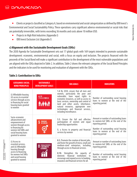Clients or projects classified as Category A, based on environmental and social categorization as defined by IDB Invest's Environmental and Social Sustainability Policy. These operations carry significant adverse environmental or social risks that are potentially irreversible, with terms exceeding 36 months and costs above 10 million USD.

- Projects in High Risk Industries (Appendix I)
- IDB Invest Exclusion List (Appendix I)

## **c) Alignment with the Sustainable Development Goals (SDGs)**

The 2030 Agenda for Sustainable Development sets out 17 global goals with 169 targets intended to promote sustainable development: economic, environmental and social, with a focus on equity and inclusion. The projects financed with the proceeds of the Social Bond will make a significant contribution to the development of the most vulnerable populations and are aligned with the SDGs depicted in Table 2. In addition, Table 2 shows the relevant categories of the Social Bond Principles and the indicators to be used for monitoring and evaluation of alignment with the SDGs.

## **Table 2: Contribution to SDGs**

| <b>CATEGORIES SOCIAL</b><br><b>BOND PRINCIPLES</b>                                                                                                                | <b>SUSTAINABLE</b><br><b>DEVELOPMENT GOALS</b> | <b>SDG GOALS</b>                                                                                                                                                                                                                                                                                                                                     | <b>INDICATORS</b>                                                                                                                                                                                 |
|-------------------------------------------------------------------------------------------------------------------------------------------------------------------|------------------------------------------------|------------------------------------------------------------------------------------------------------------------------------------------------------------------------------------------------------------------------------------------------------------------------------------------------------------------------------------------------------|---------------------------------------------------------------------------------------------------------------------------------------------------------------------------------------------------|
| (i) Affordable housing<br>(ii) access to essential<br>services through access<br>to financing for social<br>housing loans granted<br>to women                     | THE LA POBREZA<br><b>RAA.</b>                  | 1.4 By 2030, ensure that all men and<br>women, particularly the poor and<br>vulnerable, have equal rights to<br>economic resources, as well as access to<br>basic services, ownership and control of<br>land and other assets, inheritance,<br>natural resources, appropriate new<br>technologies and financial services,<br>including microfinance. | Number of outstanding social housing<br>loans to women at the end of the<br>reporting period.                                                                                                     |
| Socio-economic<br>advancement and<br>empowerment of<br>women through access<br>to financing for<br>women-led SMEs and<br>social housing loans<br>granted to women | <b>IGUALDAD</b><br><b>DE GÊNERO</b><br>5       | 5.5. Ensure the full and effective<br>participation of women<br>and<br>equal<br>leadership opportunities<br>5. a Access to property and financial<br>services by women                                                                                                                                                                               | Amount or number of outstanding loans<br>to women-led SMEs at the end of the<br>reporting period.<br>Number of outstanding social housing<br>loans to women at the end of the<br>reporting period |
| (i) Access to<br>essential services,<br>and (ii) Affordable<br>housing through                                                                                    | TRABAJO DECENTE<br>FCONOMICO                   | 8.3. Promote the creation of decent jobs,<br>and foster the growth of micro, small and<br>medium-sized enterprises, including<br>through access to financial services.                                                                                                                                                                               | Amount or number of outstanding loans<br>to women-led SMEs at the end of the<br>reporting period.                                                                                                 |
| access to financing<br>for women-led SMEs<br>and social housing<br>granted to women                                                                               |                                                | 8.10. Strengthen the capacity<br>0t<br>financial<br>domestic<br><i>institutions</i><br>to<br>encourage and expand access to banking,<br>insurance and financial services for all.                                                                                                                                                                    | Number of outstanding social housing<br>loans to women at the end of the<br>reporting period                                                                                                      |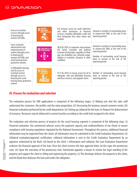| Access to essential<br>services through access<br>to financing for<br>women-led SMEs                                                                              | <b>INDUSTRIA</b><br><b>9</b> INDUSTRIA,<br><b>INFRAESTRUCTURA</b> | 9.3 Increase access by small industries<br>and other businesses to financial<br>services, including affordable credit and<br>their integration into value chains and<br>markets                                                       | Amount or number of outstanding loans<br>to women-led SMEs at the end of the<br>reporting period.                                                                                                 |
|-------------------------------------------------------------------------------------------------------------------------------------------------------------------|-------------------------------------------------------------------|---------------------------------------------------------------------------------------------------------------------------------------------------------------------------------------------------------------------------------------|---------------------------------------------------------------------------------------------------------------------------------------------------------------------------------------------------|
| Socio-economic<br>advancement and<br>empowerment of<br>women through access<br>to financing for<br>women-led SMEs and<br>social housing loans<br>granted to women | REDUCCIÓN DE LAS<br>DESIGUALDADES                                 | 10.2 By 2030, to empower and promote<br>the social, economic and political<br>inclusion of all people, regardless of their<br>age, sex, disability, race, ethnicity, origin,<br>religion or economic situation or other<br>condition. | Amount or number of outstanding loans<br>to women-led SMEs at the end of the<br>reporting period.<br>Number of outstanding social housing<br>loans to women at the end of the<br>reporting period |
| (i) Affordable housing,<br>and (ii) access to<br>essential services<br>through access to<br>financing for social<br>housing loans granted to<br>women             | <b>BIUDADES</b><br><b>COMUNIDADES</b><br><b>SOSTENIBLES</b>       | 11.1 By 2030, to ensure access for all to<br>adequate, safe and affordable housing<br>and basic services, and upgrade slums                                                                                                           | Number of outstanding social housing<br>loans to women at the end of the<br>reporting period                                                                                                      |

## *III. Process for evaluation and selection*

The evaluation process for SME applications is comprised of the following stages: (i) Making sure that the sales staff understand the customers, the profiles and the value proposition; (ii) Structuring the business around customer needs; (iii) Financial evaluation performed by the credit department; (iv) Setting up collateral for the loan; (v) Request for disbursement of resources. Resources may be disbursed in several tranches according to the credit limit assigned to the client.

The evaluation and selection process of projects for the social housing segment is comprised of the following steps: (i) Financial evaluation: Our commercial advisors assess the payment capacity and creditworthiness of our clients to ensure compliance with housing regulations stipulated by the National Government. Throughout this process, additional financial information may be requested from the client; all information must be submitted to the Credit Evaluation Department; (ii) Collateral evaluation/appraisal certification: collateral information is sent to the Credit Evaluation Department by an appraiser authorized by the Bank. (iii) Based on the client 's information and collateral, the Loan Evaluation Department endorses the financial approval of the loan. Once the client receives the loan approval letter, he/she signs the promissory note; (iv) Upon the execution of the promissory note, Davivienda appoints a lawyer to review the legal standing of the property and support the client in titling and registering the property; (v) The developer delivers the property to the client, and the Bank then disburses the loan and settles the obligation.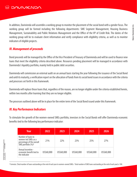In addition, Davivienda will assemble a working group to monitor the placement of the social bond with a gender focus. The working group will be formed including the following departments: SME Segment Management, Housing Business Management, Sustainability and Public Relations Management and the Office of the VP of Credit Risk. The duties of the working group will be to evaluate client information and verify compliance with eligibility criteria, as well as to monitor indicators of eligible projects.

## *IV. Management of proceeds*

Bond proceeds will be managed by the Office of the Vice President of Treasury of Davivienda and will be used to finance new loans that meet the eligibility criteria described above. Resources pending placement will be managed in accordance with Davivienda's liquidity portfolio, mainly held in public debt securities.

Davivienda will commission an external audit on an annual basis starting the year following the issuance of the Social Bond and until its maturity, a verification report on the allocation of funds from its social bond issues in accordance with the criteria and processes set forth in this framework.

Davivienda will replace those loans that, regardless of the reason, are no longer eligible under the criteria established herein, within two months after learning that they are no longer eligible.

The processes outlined above will be in place for the entire term of the Social Bond issued under this framework.

## *IV. Key Performance Indicators*

To stimulate the growth of the women-owned SMEs portfolio, investors in the Social Bonds will offer Davivienda economic benefits tied to the following key performance indicator:

| Year                                                                                                     | 2022       | 2023       | 2024       | 2025       | 2026       |
|----------------------------------------------------------------------------------------------------------|------------|------------|------------|------------|------------|
| Number of loans to<br>women-led SMEs as a<br>percentage of the overall<br>SME portfolio (%) <sup>2</sup> | 21%        | 22%        | 23%        | 25%        | 27%        |
| Annual incentive -<br>economic benefit tied to<br>the indicator                                          | US\$60,000 | US\$60,000 | US\$60,000 | US\$60,000 | US\$60,000 |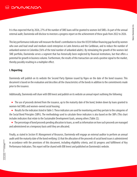It is thus expected that by 2026, 27% of the number of SME loans will be granted to women-led SMEs. As part of the annual external audit, Davivienda will disclose to investors a progress report on the achievement of these goals from 2022 to 2026.

This key performance indicator will measure the Bond's contribution to close the US\$93 billion financing gap faced by women who own and lead small and medium-sized enterprises in Latin America and the Caribbean, and to reduce the number of unbanked women in Colombia (56% of the total number of unbanked adults). By stimulating the growth of the women-led SME portfolio, Davivienda serves a segment that has historically been neglected by financial institutions, but that offers a potential for growth in business volume. Furthermore, the results of this transaction can send a positive signal to the market, thereby possibly resulting in a multiplier effect.

#### **I. Reporting**

Davivienda will publish on its website the Second Party Opinion issued by Vigeo on the date of the bond issuance. This document is based on the evaluation and describes all the characteristics of the bonds in addition to the commitments made prior to the issuance.

Additionally, Davivienda will share with IDB Invest and publish on its website an annual report outlining the following:

- The use of proceeds derived from the issuance, up to the maturity date of the bond, broken down by loans granted to women-led SMEs and women-owned social housing;
- Results for the indicators listed in Table 3. These indicators are used for monitoring and they pertain to the categories of the Social Bond Principles (SBPs). The methodology used to calculate these indicators is also based on the SBPs (This chart includes indicators that relate to the Sustainable Development Goals, among others [Table 2]);
- The percentage of bond proceeds pending allocation to loans, as well as information on how such proceeds are managed and administered on a temporary basis until they are allocated;

Finally, as stated in *Section IV. Management of Resources*, Davivienda will engage an external auditor to perform an annual audit until the maturity date of the bond verifying: (i) that the allocation of the proceeds of social bond issues is administered in accordance with the provisions of this document, including eligibility criteria, and (ii) progress and fulfillment of Key Performance Indicators. This report will be shared with IDB Invest and published on Davivienda's website.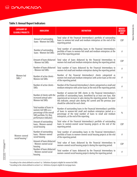## **Table 3: Annual Report Indicators**

| <b>CATEGORY OF</b><br><b>ELIGIBLE PROJECTS</b> | <b>INDICATOR</b>                                                                                                                 | <b>DEFINITION</b>                                                                                                                                                                                                                                                                                                                    | <b>MEASU-</b><br><b>REMENT</b><br><b>UNIT</b> |
|------------------------------------------------|----------------------------------------------------------------------------------------------------------------------------------|--------------------------------------------------------------------------------------------------------------------------------------------------------------------------------------------------------------------------------------------------------------------------------------------------------------------------------------|-----------------------------------------------|
| Women-led<br>SME <sub>s</sub> <sup>3</sup>     | Amount of outstanding<br>Ioans - Women-led SMEs                                                                                  | Total value of the Financial Intermediary's portfolio of outstanding<br>loans to women-led small and medium enterprises at the end of the<br>reporting period.                                                                                                                                                                       |                                               |
|                                                | Number of outstanding<br>Ioans - Women-led SMEs                                                                                  | Total number of outstanding loans in the Financial Intermediary's<br>portfolio of loans to women-led small and medium enterprises at the<br>end of the reporting period.                                                                                                                                                             |                                               |
|                                                | Amount of loans disbursed<br>- Women-led SMEs                                                                                    | Total value of loans disbursed by the Financial Intermediary to<br>women-led small and medium enterprises during the reporting period.                                                                                                                                                                                               |                                               |
|                                                | Number of loans disbursed<br>- Women-led SMEs                                                                                    | Total number of loans disbursed by the Financial Intermediary to<br>women-led small and medium enterprises during the reporting period.                                                                                                                                                                                              |                                               |
|                                                | Number of active clients -<br><b>Women-led SMEs</b>                                                                              | Number of the Financial Intermediary's clients categorized as<br>women-led small and medium enterprises with active loans at the end<br>of the reporting period.                                                                                                                                                                     |                                               |
|                                                | Number of active clients -<br><b>SMEs</b>                                                                                        | Number of the Financial Intermediary's clients categorized as small and<br>medium enterprise with active loans at the end of the reporting period.                                                                                                                                                                                   |                                               |
|                                                | Number of clients with the<br>increased annual sales -<br><b>Women-led SMEs</b>                                                  | Number of women-led SME clients in the Financial Intermediary's<br>portfolio of outstanding loans, benefitted by at least one loan, that<br>experienced an increase in sales during the reporting period. To report<br>this indicator, annual sales during the current and the previous year<br>should be collected for each client. |                                               |
|                                                | Total number of loans to<br>women-led SMEs as a<br>percentage of the overall<br>SME portfolio (%) (Key<br>performance indicator) | Number of outstanding loans in the Financial Intermediary's portfolio<br>of loans to women-led small and medium enterprises period as a<br>percentage of the total number of loans to small and medium<br>enterprises, at the end of the reporting.                                                                                  | $\frac{0}{0}$                                 |
| Women-owned<br>social housing 4                | Amount of outstanding<br>loans - Women-owned<br>social housing                                                                   | Total value of the Financial Intermediary's portfolio of outstanding<br>loans to women-owned social housing projects at the end of the<br>reporting period.                                                                                                                                                                          |                                               |
|                                                | Number of outstanding<br>loans - Women-owned<br>social housing                                                                   | Total number of outstanding loans in the Financial Intermediary's<br>portfolio of loans to women-owned social housing projects at the end<br>of the reporting period.                                                                                                                                                                |                                               |
|                                                | Amount of loans disbursed<br>- Women-owned social<br>housing                                                                     | Total value of loans disbursed by the Financial Intermediary to<br>women-owned social housing projects during the reporting period.                                                                                                                                                                                                  | COP                                           |
|                                                | Number of loans disbursed<br>- Women-owned social<br>housing                                                                     | Total number of loans disbursed by the Financial Intermediary to<br>women-owned social housing projects during the reporting period.                                                                                                                                                                                                 | $\#$                                          |

VIGILADO SUPERINTENDENCIA FINANCIERA<br>VIGILADO SUPERINTENDENCIA FINANCIERA

Banco Davivienda S.A.

<sup>&</sup>lt;sup>3</sup> According to the criteria defined in section II a) <sup>-</sup> Definition of projects eligible for women<sup>-</sup>led SMEs

According to the criteria defined in section II. a) *Definition of projects eligible for mortgage loans*.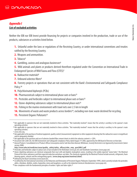## *Appendix I* **List of excluded activities**

Neither the IDB nor IDB Invest provide financing for projects or companies involved in the production, trade or use of the products, substances or activities listed below.

**1.** Unlawful under the laws or regulations of the Receiving Country, or under international conventions and treaties ratified by the Receiving Country.

- **2.** Weapons and ammunition.
- **3.** Tobacco
- **4.** Gambling, casinos and analogous businesses<sup>6</sup>
- **5.** Wild animals and plants or products derived therefrom regulated under the Convention on International Trade in Endangered Species of Wild Fauna and Flora (CITES)
- **6.** Radioactive materials<sup>8</sup>
- **7.** Unbound asbestos fibers<sup>9</sup>
- **8.** Forestry projects or operations that are not consistent with the Bank's Environmental and Safeguards Compliance Policy.<sup>10</sup>
- **9.** Polychlorinated biphenyls (PCBs)
- **10.** Pharmaceuticals subject to international phase outs or bans<sup>11</sup>
- **11.** Pesticides and herbicides subject to international phase outs or bans<sup>12</sup>
- **12.** Ozone-depleting substances subject to international phase outs<sup>13</sup>
- **13.** Fishing in the marine environment with trawl nets over 2.5 km in length
- **14.** Movements of waste and waste products across borders<sup>14</sup>, excluding non-toxic waste destined for recycling.
- **15.** Persistent Organic Pollutants<sup>15</sup>

<sup>&</sup>lt;sup>5</sup> Not applicable to sponsors that are not materially involved in these activities. "Not materially involved" means that the activity is ancillary to the sponsor's main operating activities.

 $^6$  Not applicable to sponsors that are not materially involved in these activities. "Not materially involved" means that the activity is ancillary to the sponsor's main operating activities.

www.cites.org.

 $^{\rm 8}$  Not applicable to the purchase of medical equipment, quality control (measurement) equipment or other equipment showing that the radioactive source is insignificant and/or adequately shielded.

 $9\,$  Not applicable to the purchase and use of asbestos-bonded fiber cement sheets in which the asbestos content is  $<$  20%.

<sup>&</sup>lt;sup>10</sup> Document (GN-2208-20), the IDB Environment and Safeguards Compliance Policy dated August 19<sup>,</sup> 2006, approved by the IDB Board of Directors on that date.

*Banned Products:* Consolidated *List of Products Whose Consumption and/or Sale Have Been Banned, Withdrawn, Severely Restricted or not Approved by Governments*(latest version 2008).

**http://www.who.int/medicines/areas/quality\_safety/safety\_efficacy/who\_emp\_qsm2008.3.pdf**

<sup>&</sup>lt;sup>12</sup> Pesticides and herbicides subject to phase outs or ban included in the Rotterdam (www.pic.int) and Stockholm Conventions (www.pops.int).

<sup>&</sup>lt;sup>13</sup> Ozone-depleting substances are chemical compounds that react with and deplete stratospheric ozone, resulting in the widely reported "ozone holes". The Montreal Protocol lists these substances and their expected reduction and phase-out dates. The chemicals regulated by the Montreal Protocol include aerosols, refrigerants, foam blowing agents, solvents and fire extinguishing agents. (**www.unep.org/ozone/montreal.shtml**).

<sup>&</sup>lt;sup>14</sup> Defined by the Basel Convention (www.basel.int).

<sup>&</sup>lt;sup>15</sup> As defined by the International Convention on the Reduction and Elimination of Persistent Organic Pollutants (September 1999), which currently includes the pesticides aldrin, chlordane, dieldrin, endrin, heptachlor, mirex and toxaphene, as well as the industrial chemical chlorobenzenes (www.pops.int).

<sup>&</sup>lt;sup>16</sup> Non-compliance with the fundamental principles of workers' rights and labor rights.<sup>16</sup>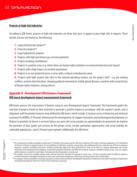## **THE DAVIVIENDA**

## **Projects in high-risk industries**

According to IDB Invest, projects in high-risk industries are those that pose or appear to pose high risks or impacts. These include, but are not limited to, the following:

- **1.** Large infrastructure projects<sup>17</sup>
- **2.** Extractive projects<sup>18</sup>
- **3.** Large hydroelectric projects
- **4.** Projects with high greenhouse gas emission potential
- **5.** Projects involving resettlement
- **6.** Projects in sensitive areas (e.g. where there are human rights violations or environmental and social unrest).
- **7.** Projects with a high impact on sensitive populations
- **8.** Projects in or near protected areas or areas with a cultural or biodiversity value

**9.** Projects with high context risks (due to the external operating context, not the project itself - e.g. pre-existing conflicts, systemic discrimination, changing political environment, widely spread diseases, countries with a long history of human rights violations, among others).

## *Appendix II - Development Effectiveness Framework*

#### **IDB Invest development impact measurement framework**

IDB Invest assesses the transactions it finances using its own Development Impact Framework. This framework guides the selection of projects based on their potential to generate a positive impact in accordance with the country's needs, and in alignment with the priority business areas defined by IDB Invest, which include: I) Increase access to financing and technical assistance for MSMEs; ii) Promote infrastructure for development; iii) Support innovation and technological development; iv) Mejorar la provisión de bienes y servicios básicos por parte del sector privado, las oportunidades de generación de Improve the provision of basic goods and services by the private sector, income generation opportunities and social mobility for vulnerable populations.; and v) Promote green growth. Additionally, the IDB Invest

 $\overline{I_1 \mid G \mid L \mid A \mid D \mid Q}$  SUPERINTENDENCIA FINANCIERA

<sup>&</sup>lt;sup>16</sup> The Fundamental Principles and Rights at Work mean: (i) Freedom of association and the effective recognition of the right to collective bargaining; (ii) the prohibition of all forms of forced or compulsory labor; (iii) the prohibition of child labor, including, among others, the prohibition of persons under the age of 18 from working in hazardous conditions (including construction activities), performing night work, being declared fit for work on the basis of a medical examination; and (iv) the elimination of discrimination in the workplace, in which discrimination is defined as any different treatment, exclusion or preference based on race, color, sex, religion, political opinion, or national or social origin. (International Labor Organization, www.ilo.org).

<sup>&</sup>lt;sup>17</sup> For example: ocean ports, navigable internal routes, internal route ports that allow the passage of vessels over 1,350 tons; treatment plants for affluents; plants for chemical treatment or discharge of hazardous or toxic waste; construction of highways, expressways and long distance lines; among others.

<sup>&</sup>lt;sup>18</sup> For example: onshore and offshore oil and gas operations as well as crude oil refineries (excluding the manufacture of lubricants only) and the installation of gasification and liquefaction plants for 500 tons or more of coal or bituminous oil per day.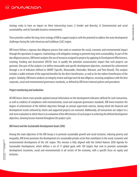strategy seeks to have an impact on three intersecting issues: i) Gender and diversity; ii) Environmental and social sustainability; and iii) Favorable business environments.

These priorities outline the long-term strategy of IDB to support projects with the potential to address the main development challenges facing the Latin American and Caribbean (LAC) region.

IDB Invest follows a rigorous due diligence process that seeks to maximize the social, economic and environmental impact through the operations it supports, maintaining a risk mitigation strategy to promote long-term sustainability. As part of the due diligence process, IDB Invest analyzes the use of resources assigned to projects by applying its Development Effectiveness, Learning, Tracking and Assessment (DELTA) tool, to qualify the potential socioeconomic impact that such projects can generate. One part of the analysis is to define measurable and specific development objectives, monitored for achievement through a set of indicators defined as SMART (Specific, Measurable, Attainable, Relevant, and Time-Bound). This analysis includes a viable estimate of the expected benefits for the direct beneficiaries, as well as for the indirect beneficiaries of the project. Similarly, IDB Invest conducts an integrity review and legal and risk due diligence, ensuring compliance with the best corporate, social and environmental governance standards, as defined by IDB Invest internal policies and procedures.

#### *Project monitoring and evaluation*

All IDB Invest clients must provide updated annual information on the development indicators defined for each transaction, as well as evidence of compliance with environmental, social and corporate governance standards. IDB Invest monitors the degree of achievement of the defined objectives through an annual supervision exercise, during which the financial and development results achieved by clients and supported projects are reviewed. Additionally, all transactions are subject to a mid-term evaluation in which there is an evaluation of the effectiveness of each project in achieving the defined development objectives, drawing lessons learned throughout the project cycle.

#### *BID Invest and the Sustainable Development Goals (SDG)*

Among the main objectives of the IDB Group is to promote sustainable growth and social inclusion, reducing poverty and inequality. IDB Invest promotes the development of a sustainable private sector that contributes to the social, economic and environmental development of the LAC region. This mission is fully aligned with the United Nations 2030 Agenda for Sustainable Development, which defines a set of 17 global goals with 169 targets that seek to promote sustainable development (economic, social and environmental) in all sectors of the economy, with a specific focus on equity and inclusion.